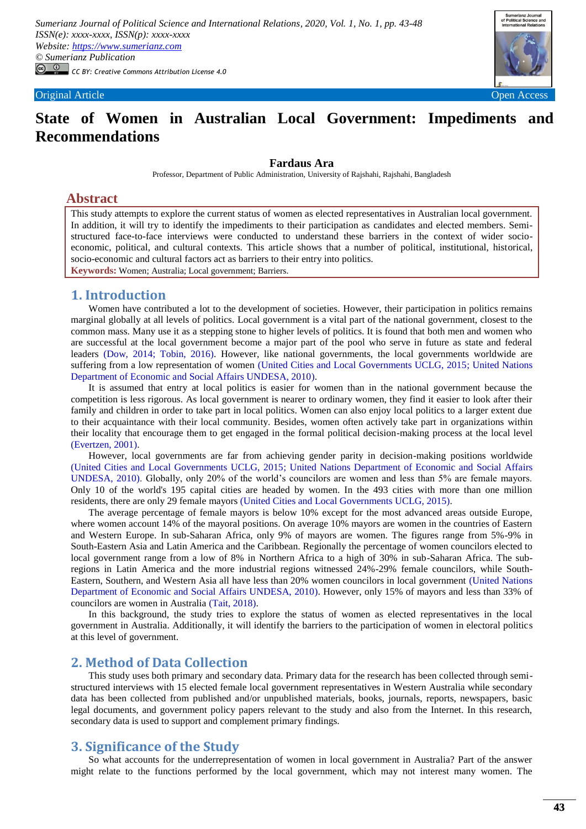*Sumerianz Journal of Political Science and International Relations, 2020, Vol. 1, No. 1, pp. 43-48 ISSN(e): xxxx-xxxx, ISSN(p): xxxx-xxxx Website: https://www.sumerianz.com © Sumerianz Publication CC BY: Creative Commons Attribution License 4.0*



# **State of Women in Australian Local Government: Impediments and Recommendations**

#### **Fardaus Ara**

Professor, Department of Public Administration, University of Rajshahi, Rajshahi, Bangladesh

## **Abstract**

This study attempts to explore the current status of women as elected representatives in Australian local government. In addition, it will try to identify the impediments to their participation as candidates and elected members. Semistructured face-to-face interviews were conducted to understand these barriers in the context of wider socioeconomic, political, and cultural contexts. This article shows that a number of political, institutional, historical, socio-economic and cultural factors act as barriers to their entry into politics. **Keywords:** Women; Australia; Local government; Barriers.

## **1. Introduction**

Women have contributed a lot to the development of societies. However, their participation in politics remains marginal globally at all levels of politics. Local government is a vital part of the national government, closest to the common mass. Many use it as a stepping stone to higher levels of politics. It is found that both men and women who are successful at the local government become a major part of the pool who serve in future as state and federal leaders [\(Dow, 2014;](#page-5-0) [Tobin, 2016\)](#page-5-1). However, like national governments, the local governments worldwide are suffering from a low representation of women [\(United Cities and Local Governments UCLG, 2015;](#page-5-2) [United Nations](#page-5-3)  [Department of Economic and Social Affairs UNDESA, 2010\)](#page-5-3).

It is assumed that entry at local politics is easier for women than in the national government because the competition is less rigorous. As local government is nearer to ordinary women, they find it easier to look after their family and children in order to take part in local politics. Women can also enjoy local politics to a larger extent due to their acquaintance with their local community. Besides, women often actively take part in organizations within their locality that encourage them to get engaged in the formal political decision-making process at the local level [\(Evertzen, 2001\)](#page-5-4).

However, local governments are far from achieving gender parity in decision-making positions worldwide [\(United Cities and Local Governments UCLG, 2015;](#page-5-2) [United Nations Department of Economic and Social Affairs](#page-5-3)  [UNDESA, 2010\)](#page-5-3). Globally, only 20% of the world's councilors are women and less than 5% are female mayors. Only 10 of the world's 195 capital cities are headed by women. In the 493 cities with more than one million residents, there are only 29 female mayors [\(United Cities and Local Governments UCLG, 2015\)](#page-5-2).

The average percentage of female mayors is below 10% except for the most advanced areas outside Europe, where women account 14% of the mayoral positions. On average 10% mayors are women in the countries of Eastern and Western Europe. In sub-Saharan Africa, only 9% of mayors are women. The figures range from 5%-9% in South-Eastern Asia and Latin America and the Caribbean. Regionally the percentage of women councilors elected to local government range from a low of 8% in Northern Africa to a high of 30% in sub-Saharan Africa. The subregions in Latin America and the more industrial regions witnessed 24%-29% female councilors, while South-Eastern, Southern, and Western Asia all have less than 20% women councilors in local government [\(United Nations](#page-5-3)  [Department of Economic and Social Affairs UNDESA, 2010\)](#page-5-3). However, only 15% of mayors and less than 33% of councilors are women in Australia [\(Tait, 2018\)](#page-5-5).

In this background, the study tries to explore the status of women as elected representatives in the local government in Australia. Additionally, it will identify the barriers to the participation of women in electoral politics at this level of government.

## **2. Method of Data Collection**

This study uses both primary and secondary data. Primary data for the research has been collected through semistructured interviews with 15 elected female local government representatives in Western Australia while secondary data has been collected from published and/or unpublished materials, books, journals, reports, newspapers, basic legal documents, and government policy papers relevant to the study and also from the Internet. In this research, secondary data is used to support and complement primary findings.

## **3. Significance of the Study**

So what accounts for the underrepresentation of women in local government in Australia? Part of the answer might relate to the functions performed by the local government, which may not interest many women. The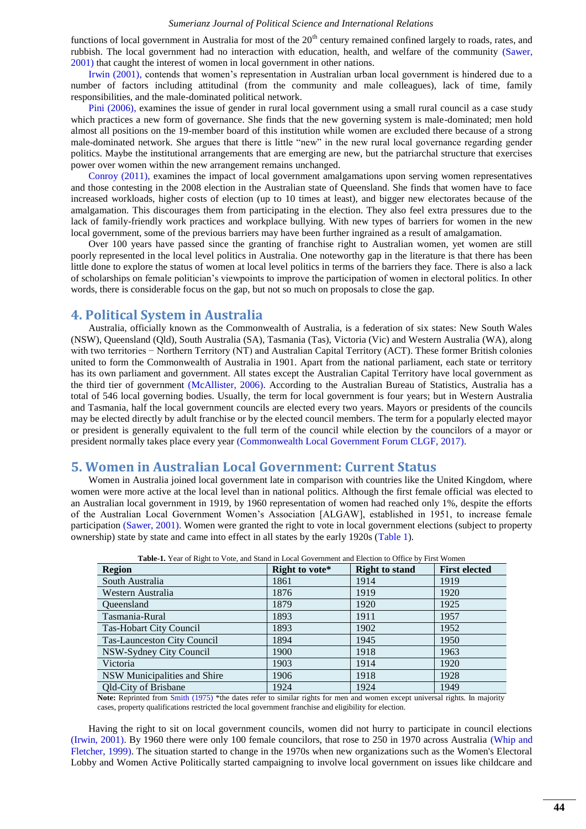#### *Sumerianz Journal of Political Science and International Relations*

functions of local government in Australia for most of the  $20<sup>th</sup>$  century remained confined largely to roads, rates, and rubbish. The local government had no interaction with education, health, and welfare of the community [\(Sawer,](#page-5-6)  [2001\)](#page-5-6) that caught the interest of women in local government in other nations.

[Irwin \(2001\),](#page-5-7) contends that women's representation in Australian urban local government is hindered due to a number of factors including attitudinal (from the community and male colleagues), lack of time, family responsibilities, and the male-dominated political network.

[Pini \(2006\),](#page-5-8) examines the issue of gender in rural local government using a small rural council as a case study which practices a new form of governance. She finds that the new governing system is male-dominated; men hold almost all positions on the 19-member board of this institution while women are excluded there because of a strong male-dominated network. She argues that there is little "new" in the new rural local governance regarding gender politics. Maybe the institutional arrangements that are emerging are new, but the patriarchal structure that exercises power over women within the new arrangement remains unchanged.

[Conroy \(2011\),](#page-5-9) examines the impact of local government amalgamations upon serving women representatives and those contesting in the 2008 election in the Australian state of Queensland. She finds that women have to face increased workloads, higher costs of election (up to 10 times at least), and bigger new electorates because of the amalgamation. This discourages them from participating in the election. They also feel extra pressures due to the lack of family-friendly work practices and workplace bullying. With new types of barriers for women in the new local government, some of the previous barriers may have been further ingrained as a result of amalgamation.

Over 100 years have passed since the granting of franchise right to Australian women, yet women are still poorly represented in the local level politics in Australia. One noteworthy gap in the literature is that there has been little done to explore the status of women at local level politics in terms of the barriers they face. There is also a lack of scholarships on female politician's viewpoints to improve the participation of women in electoral politics. In other words, there is considerable focus on the gap, but not so much on proposals to close the gap.

## **4. Political System in Australia**

Australia, officially known as the Commonwealth of Australia, is a federation of six states: New South Wales (NSW), Queensland (Qld), South Australia (SA), Tasmania (Tas), Victoria (Vic) and Western Australia (WA), along with two territories − Northern Territory (NT) and Australian Capital Territory (ACT). These former British colonies united to form the Commonwealth of Australia in 1901. Apart from the national parliament, each state or territory has its own parliament and government. All states except the Australian Capital Territory have local government as the third tier of government [\(McAllister, 2006\)](#page-5-10). According to the Australian Bureau of Statistics, Australia has a total of 546 local governing bodies. Usually, the term for local government is four years; but in Western Australia and Tasmania, half the local government councils are elected every two years. Mayors or presidents of the councils may be elected directly by adult franchise or by the elected council members. The term for a popularly elected mayor or president is generally equivalent to the full term of the council while election by the councilors of a mayor or president normally takes place every year [\(Commonwealth Local Government Forum CLGF, 2017\)](#page-5-11).

## **5. Women in Australian Local Government: Current Status**

Women in Australia joined local government late in comparison with countries like the United Kingdom, where women were more active at the local level than in national politics. Although the first female official was elected to an Australian local government in 1919, by 1960 representation of women had reached only 1%, despite the efforts of the Australian Local Government Women's Association [ALGAW], established in 1951, to increase female participation [\(Sawer, 2001\)](#page-5-6). Women were granted the right to vote in local government elections (subject to property ownership) state by state and came into effect in all states by the early 1920s [\(Table 1\)](#page-1-0).

<span id="page-1-0"></span>

| <b>Table-1.</b> Fear of Kight to Vote, and Stand in Local Government and Electron to Office by Pirst Women |                |                       |                      |  |  |  |
|------------------------------------------------------------------------------------------------------------|----------------|-----------------------|----------------------|--|--|--|
| <b>Region</b>                                                                                              | Right to vote* | <b>Right to stand</b> | <b>First elected</b> |  |  |  |
| South Australia                                                                                            | 1861           | 1914                  | 1919                 |  |  |  |
| Western Australia                                                                                          | 1876           | 1919                  | 1920                 |  |  |  |
| <b>Oueensland</b>                                                                                          | 1879           | 1920                  | 1925                 |  |  |  |
| Tasmania-Rural                                                                                             | 1893           | 1911                  | 1957                 |  |  |  |
| Tas-Hobart City Council                                                                                    | 1893           | 1902                  | 1952                 |  |  |  |
| <b>Tas-Launceston City Council</b>                                                                         | 1894           | 1945                  | 1950                 |  |  |  |
| NSW-Sydney City Council                                                                                    | 1900           | 1918                  | 1963                 |  |  |  |
| Victoria                                                                                                   | 1903           | 1914                  | 1920                 |  |  |  |
| NSW Municipalities and Shire                                                                               | 1906           | 1918                  | 1928                 |  |  |  |
| <b>Qld-City of Brisbane</b>                                                                                | 1924           | 1924                  | 1949                 |  |  |  |

**Table-1.** Year of Right to Vote, and Stand in Local Government and Election to Office by First Women

Note: Reprinted from [Smith \(1975\)](#page-5-12) \*the dates refer to similar rights for men and women except universal rights. In majority cases, property qualifications restricted the local government franchise and eligibility for election.

Having the right to sit on local government councils, women did not hurry to participate in council elections [\(Irwin, 2001\)](#page-5-7). By 1960 there were only 100 female councilors, that rose to 250 in 1970 across Australia [\(Whip and](#page-5-13)  [Fletcher, 1999\)](#page-5-13). The situation started to change in the 1970s when new organizations such as the Women's Electoral Lobby and Women Active Politically started campaigning to involve local government on issues like childcare and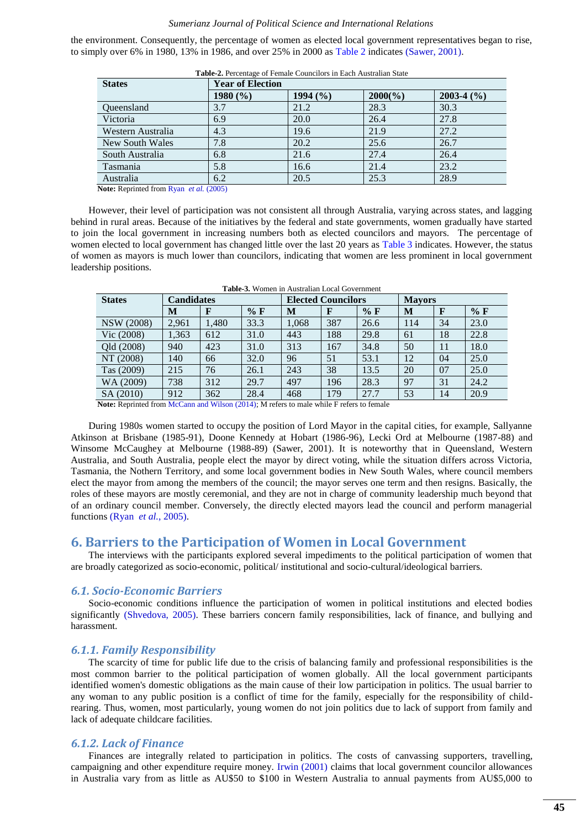#### *Sumerianz Journal of Political Science and International Relations*

the environment. Consequently, the percentage of women as elected local government representatives began to rise, to simply over 6% in 1980, 13% in 1986, and over 25% in 2000 as [Table 2](#page-2-0) indicates [\(Sawer, 2001\)](#page-5-6).

<span id="page-2-0"></span>

| <b>States</b>                                                                                                 | <b>Year of Election</b> |          |                   |              |  |  |
|---------------------------------------------------------------------------------------------------------------|-------------------------|----------|-------------------|--------------|--|--|
|                                                                                                               | $1980\,(%)$             | 1994 (%) | $2000(^{o}/_{o})$ | $2003-4$ (%) |  |  |
| <b>Oueensland</b>                                                                                             | 3.7                     | 21.2     | 28.3              | 30.3         |  |  |
| Victoria                                                                                                      | 6.9                     | 20.0     | 26.4              | 27.8         |  |  |
| Western Australia                                                                                             | 4.3                     | 19.6     | 21.9              | 27.2         |  |  |
| New South Wales                                                                                               | 7.8                     | 20.2     | 25.6              | 26.7         |  |  |
| South Australia                                                                                               | 6.8                     | 21.6     | 27.4              | 26.4         |  |  |
| Tasmania                                                                                                      | 5.8                     | 16.6     | 21.4              | 23.2         |  |  |
| Australia                                                                                                     | 6.2                     | 20.5     | 25.3              | 28.9         |  |  |
| $\mathbf{M}$ , $\mathbf{D}$ , $\mathbf{L}$ , $\mathbf{L}$ , $\mathbf{D}$ , $\mathbf{L}$ , $\mathbf{L}$ (0005) |                         |          |                   |              |  |  |

**Table-2.** Percentage of Female Councilors in Each Australian State

**Note:** Reprinted from Ryan *et al.* [\(2005\)](#page-5-14)

However, their level of participation was not consistent all through Australia, varying across states, and lagging behind in rural areas. Because of the initiatives by the federal and state governments, women gradually have started to join the local government in increasing numbers both as elected councilors and mayors. The percentage of women elected to local government has changed little over the last 20 years as [Table 3](#page-2-1) indicates. However, the status of women as mayors is much lower than councilors, indicating that women are less prominent in local government leadership positions.

<span id="page-2-1"></span>

| <b>Table-3.</b> Women in Australian Local Government |                   |       |       |                           |              |                |     |              |       |
|------------------------------------------------------|-------------------|-------|-------|---------------------------|--------------|----------------|-----|--------------|-------|
| <b>States</b>                                        | <b>Candidates</b> |       |       | <b>Elected Councilors</b> |              | <b>Mayors</b>  |     |              |       |
|                                                      | M                 | F     | $%$ F | М                         | $\mathbf{F}$ | $%$ F          | M   | $\mathbf{F}$ | $%$ F |
| <b>NSW</b> (2008)                                    | 2,961             | 1.480 | 33.3  | 1.068                     | 387          | 26.6           | 114 | 34           | 23.0  |
| Vic (2008)                                           | 1,363             | 612   | 31.0  | 443                       | 188          | 29.8           | 61  | 18           | 22.8  |
| Qld (2008)                                           | 940               | 423   | 31.0  | 313                       | 167          | 34.8           | 50  | 11           | 18.0  |
| NT (2008)                                            | 140               | 66    | 32.0  | 96                        | 51           | 53.1           | 12  | 04           | 25.0  |
| Tas (2009)                                           | 215               | 76    | 26.1  | 243                       | 38           | 13.5           | 20  | 07           | 25.0  |
| WA (2009)                                            | 738               | 312   | 29.7  | 497                       | 196          | 28.3           | 97  | 31           | 24.2  |
| SA (2010)                                            | 912<br>---        | 362   | 28.4  | 468                       | 179<br>---   | 27.7<br>$\sim$ | 53  | 14           | 20.9  |

**Note:** Reprinted fro[m McCann and Wilson \(2014\);](#page-5-15) M refers to male while F refers to female

During 1980s women started to occupy the position of Lord Mayor in the capital cities, for example, Sallyanne Atkinson at Brisbane (1985-91), Doone Kennedy at Hobart (1986-96), Lecki Ord at Melbourne (1987-88) and Winsome McCaughey at Melbourne (1988-89) (Sawer, 2001). It is noteworthy that in Queensland, Western Australia, and South Australia, people elect the mayor by direct voting, while the situation differs across Victoria, Tasmania, the Nothern Territory, and some local government bodies in New South Wales, where council members elect the mayor from among the members of the council; the mayor serves one term and then resigns. Basically, the roles of these mayors are mostly ceremonial, and they are not in charge of community leadership much beyond that of an ordinary council member. Conversely, the directly elected mayors lead the council and perform managerial functions (Ryan *et al.*[, 2005\)](#page-5-14).

### **6. Barriers to the Participation of Women in Local Government**

The interviews with the participants explored several impediments to the political participation of women that are broadly categorized as socio-economic, political/ institutional and socio-cultural/ideological barriers.

#### *6.1. Socio-Economic Barriers*

Socio-economic conditions influence the participation of women in political institutions and elected bodies significantly [\(Shvedova, 2005\)](#page-5-16). These barriers concern family responsibilities, lack of finance, and bullying and harassment.

#### *6.1.1. Family Responsibility*

The scarcity of time for public life due to the crisis of balancing family and professional responsibilities is the most common barrier to the political participation of women globally. All the local government participants identified women's domestic obligations as the main cause of their low participation in politics. The usual barrier to any woman to any public position is a conflict of time for the family, especially for the responsibility of childrearing. Thus, women, most particularly, young women do not join politics due to lack of support from family and lack of adequate childcare facilities.

#### *6.1.2. Lack of Finance*

Finances are integrally related to participation in politics. The costs of canvassing supporters, travelling, campaigning and other expenditure require money. [Irwin \(2001\)](#page-5-7) claims that local government councilor allowances in Australia vary from as little as AU\$50 to \$100 in Western Australia to annual payments from AU\$5,000 to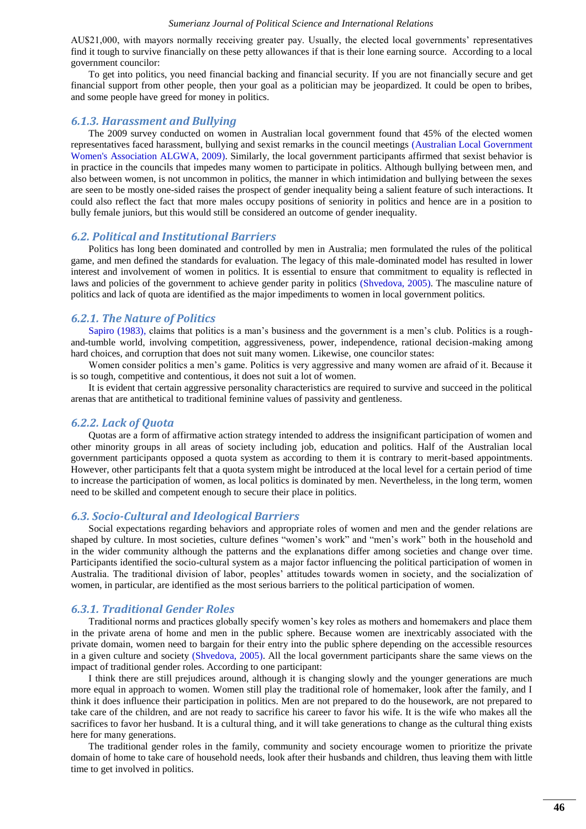#### *Sumerianz Journal of Political Science and International Relations*

AU\$21,000, with mayors normally receiving greater pay. Usually, the elected local governments' representatives find it tough to survive financially on these petty allowances if that is their lone earning source. According to a local government councilor:

To get into politics, you need financial backing and financial security. If you are not financially secure and get financial support from other people, then your goal as a politician may be jeopardized. It could be open to bribes, and some people have greed for money in politics.

#### *6.1.3. Harassment and Bullying*

The 2009 survey conducted on women in Australian local government found that 45% of the elected women representatives faced harassment, bullying and sexist remarks in the council meetings [\(Australian Local Government](#page-4-0)  [Women's Association ALGWA, 2009\)](#page-4-0). Similarly, the local government participants affirmed that sexist behavior is in practice in the councils that impedes many women to participate in politics. Although bullying between men, and also between women, is not uncommon in politics, the manner in which intimidation and bullying between the sexes are seen to be mostly one-sided raises the prospect of gender inequality being a salient feature of such interactions. It could also reflect the fact that more males occupy positions of seniority in politics and hence are in a position to bully female juniors, but this would still be considered an outcome of gender inequality.

#### *6.2. Political and Institutional Barriers*

Politics has long been dominated and controlled by men in Australia; men formulated the rules of the political game, and men defined the standards for evaluation. The legacy of this male-dominated model has resulted in lower interest and involvement of women in politics. It is essential to ensure that commitment to equality is reflected in laws and policies of the government to achieve gender parity in politics [\(Shvedova, 2005\)](#page-5-16). The masculine nature of politics and lack of quota are identified as the major impediments to women in local government politics.

#### *6.2.1. The Nature of Politics*

[Sapiro \(1983\),](#page-5-17) claims that politics is a man's business and the government is a men's club. Politics is a roughand-tumble world, involving competition, aggressiveness, power, independence, rational decision-making among hard choices, and corruption that does not suit many women. Likewise, one councilor states:

Women consider politics a men's game. Politics is very aggressive and many women are afraid of it. Because it is so tough, competitive and contentious, it does not suit a lot of women.

It is evident that certain aggressive personality characteristics are required to survive and succeed in the political arenas that are antithetical to traditional feminine values of passivity and gentleness.

#### *6.2.2. Lack of Quota*

Quotas are a form of affirmative action strategy intended to address the insignificant participation of women and other minority groups in all areas of society including job, education and politics. Half of the Australian local government participants opposed a quota system as according to them it is contrary to merit-based appointments. However, other participants felt that a quota system might be introduced at the local level for a certain period of time to increase the participation of women, as local politics is dominated by men. Nevertheless, in the long term, women need to be skilled and competent enough to secure their place in politics.

#### *6.3. Socio-Cultural and Ideological Barriers*

Social expectations regarding behaviors and appropriate roles of women and men and the gender relations are shaped by culture. In most societies, culture defines "women's work" and "men's work" both in the household and in the wider community although the patterns and the explanations differ among societies and change over time. Participants identified the socio-cultural system as a major factor influencing the political participation of women in Australia. The traditional division of labor, peoples' attitudes towards women in society, and the socialization of women, in particular, are identified as the most serious barriers to the political participation of women.

#### *6.3.1. Traditional Gender Roles*

Traditional norms and practices globally specify women's key roles as mothers and homemakers and place them in the private arena of home and men in the public sphere. Because women are inextricably associated with the private domain, women need to bargain for their entry into the public sphere depending on the accessible resources in a given culture and society [\(Shvedova, 2005\)](#page-5-16). All the local government participants share the same views on the impact of traditional gender roles. According to one participant:

I think there are still prejudices around, although it is changing slowly and the younger generations are much more equal in approach to women. Women still play the traditional role of homemaker, look after the family, and I think it does influence their participation in politics. Men are not prepared to do the housework, are not prepared to take care of the children, and are not ready to sacrifice his career to favor his wife. It is the wife who makes all the sacrifices to favor her husband. It is a cultural thing, and it will take generations to change as the cultural thing exists here for many generations.

The traditional gender roles in the family, community and society encourage women to prioritize the private domain of home to take care of household needs, look after their husbands and children, thus leaving them with little time to get involved in politics.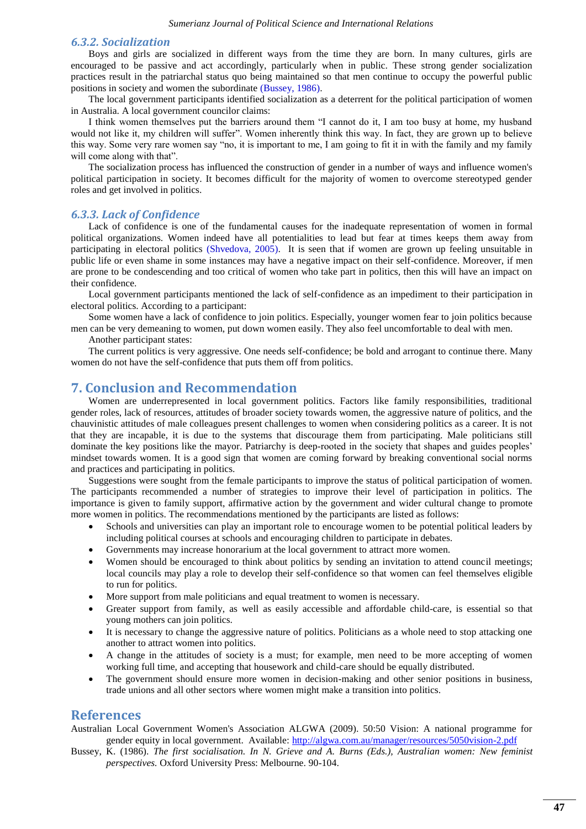#### *6.3.2. Socialization*

Boys and girls are socialized in different ways from the time they are born. In many cultures, girls are encouraged to be passive and act accordingly, particularly when in public. These strong gender socialization practices result in the patriarchal status quo being maintained so that men continue to occupy the powerful public positions in society and women the subordinate [\(Bussey, 1986\)](#page-4-1).

The local government participants identified socialization as a deterrent for the political participation of women in Australia. A local government councilor claims:

I think women themselves put the barriers around them "I cannot do it, I am too busy at home, my husband would not like it, my children will suffer". Women inherently think this way. In fact, they are grown up to believe this way. Some very rare women say "no, it is important to me, I am going to fit it in with the family and my family will come along with that".

The socialization process has influenced the construction of gender in a number of ways and influence women's political participation in society. It becomes difficult for the majority of women to overcome stereotyped gender roles and get involved in politics.

#### *6.3.3. Lack of Confidence*

Lack of confidence is one of the fundamental causes for the inadequate representation of women in formal political organizations. Women indeed have all potentialities to lead but fear at times keeps them away from participating in electoral politics [\(Shvedova, 2005\)](#page-5-16). It is seen that if women are grown up feeling unsuitable in public life or even shame in some instances may have a negative impact on their self-confidence. Moreover, if men are prone to be condescending and too critical of women who take part in politics, then this will have an impact on their confidence.

Local government participants mentioned the lack of self-confidence as an impediment to their participation in electoral politics. According to a participant:

Some women have a lack of confidence to join politics. Especially, younger women fear to join politics because men can be very demeaning to women, put down women easily. They also feel uncomfortable to deal with men.

Another participant states:

The current politics is very aggressive. One needs self-confidence; be bold and arrogant to continue there. Many women do not have the self-confidence that puts them off from politics.

## **7. Conclusion and Recommendation**

Women are underrepresented in local government politics. Factors like family responsibilities, traditional gender roles, lack of resources, attitudes of broader society towards women, the aggressive nature of politics, and the chauvinistic attitudes of male colleagues present challenges to women when considering politics as a career. It is not that they are incapable, it is due to the systems that discourage them from participating. Male politicians still dominate the key positions like the mayor. Patriarchy is deep-rooted in the society that shapes and guides peoples' mindset towards women. It is a good sign that women are coming forward by breaking conventional social norms and practices and participating in politics.

Suggestions were sought from the female participants to improve the status of political participation of women. The participants recommended a number of strategies to improve their level of participation in politics. The importance is given to family support, affirmative action by the government and wider cultural change to promote more women in politics. The recommendations mentioned by the participants are listed as follows:

- Schools and universities can play an important role to encourage women to be potential political leaders by including political courses at schools and encouraging children to participate in debates.
- Governments may increase honorarium at the local government to attract more women.
- Women should be encouraged to think about politics by sending an invitation to attend council meetings; local councils may play a role to develop their self-confidence so that women can feel themselves eligible to run for politics.
- More support from male politicians and equal treatment to women is necessary.
- Greater support from family, as well as easily accessible and affordable child-care, is essential so that young mothers can join politics.
- It is necessary to change the aggressive nature of politics. Politicians as a whole need to stop attacking one another to attract women into politics.
- A change in the attitudes of society is a must; for example, men need to be more accepting of women working full time, and accepting that housework and child-care should be equally distributed.
- The government should ensure more women in decision-making and other senior positions in business, trade unions and all other sectors where women might make a transition into politics.

## **References**

<span id="page-4-0"></span>Australian Local Government Women's Association ALGWA (2009). 50:50 Vision: A national programme for gender equity in local government. Available:<http://algwa.com.au/manager/resources/5050vision-2.pdf>

<span id="page-4-1"></span>Bussey, K. (1986). *The first socialisation. In N. Grieve and A. Burns (Eds.), Australian women: New feminist perspectives.* Oxford University Press: Melbourne. 90-104.